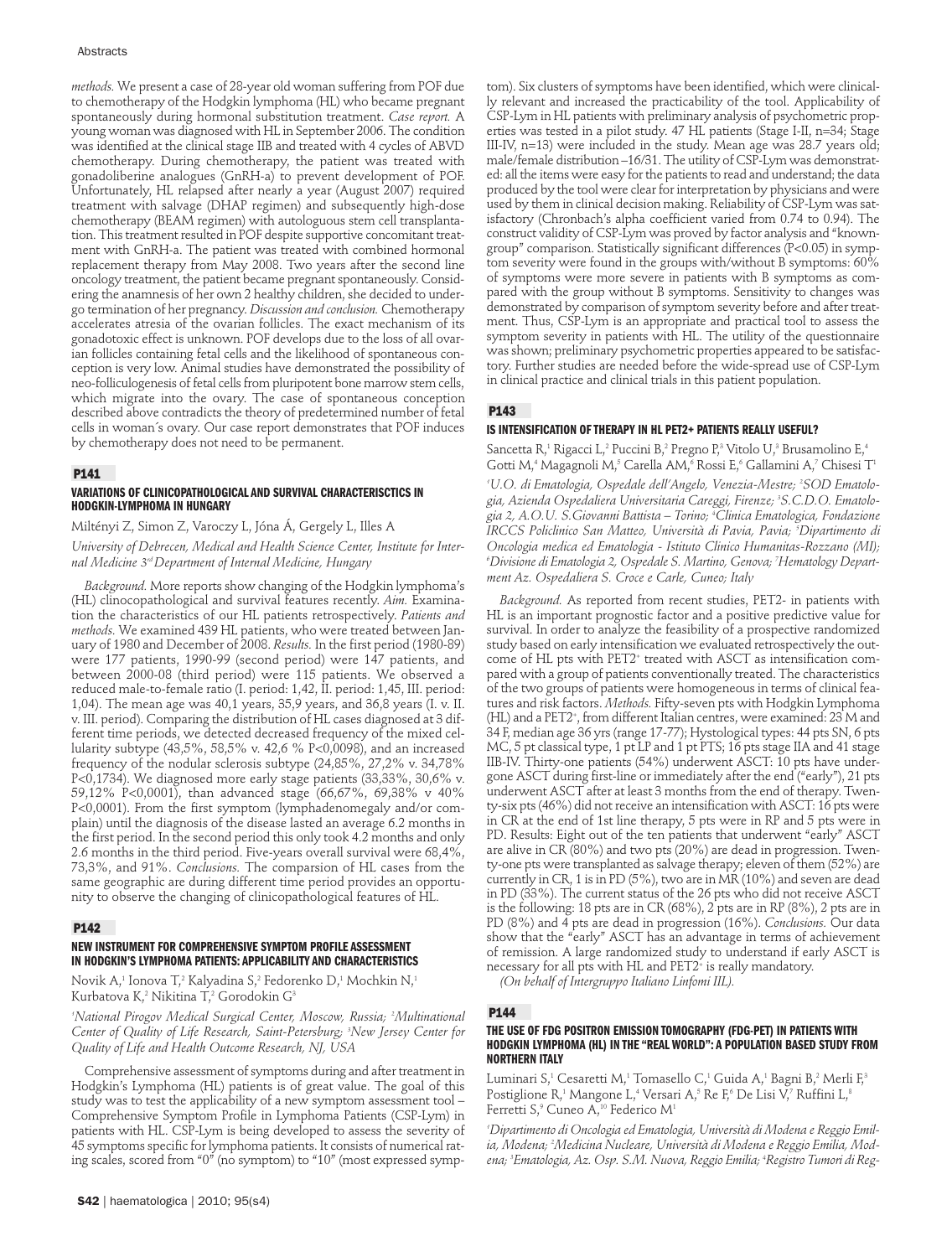#### Abstracts

*methods.* We present a case of 28-year old woman suffering from POF due to chemotherapy of the Hodgkin lymphoma (HL) who became pregnant spontaneously during hormonal substitution treatment. *Case report.* A young woman was diagnosed with HL in September 2006. The condition was identified at the clinical stage IIB and treated with 4 cycles of ABVD chemotherapy. During chemotherapy, the patient was treated with gonadoliberine analogues (GnRH-a) to prevent development of POF. Unfortunately, HL relapsed after nearly a year (August 2007) required treatment with salvage (DHAP regimen) and subsequently high-dose chemotherapy (BEAM regimen) with autologuous stem cell transplantation. This treatment resulted in POF despite supportive concomitant treatment with GnRH-a. The patient was treated with combined hormonal replacement therapy from May 2008. Two years after the second line oncology treatment, the patient became pregnant spontaneously. Considering the anamnesis of her own 2 healthy children, she decided to undergo termination of her pregnancy. *Discussion and conclusion.* Chemotherapy accelerates atresia of the ovarian follicles. The exact mechanism of its gonadotoxic effect is unknown. POF develops due to the loss of all ovarian follicles containing fetal cells and the likelihood of spontaneous conception is very low. Animal studies have demonstrated the possibility of neo-folliculogenesis of fetal cells from pluripotent bone marrow stem cells, which migrate into the ovary. The case of spontaneous conception described above contradicts the theory of predetermined number of fetal cells in woman´s ovary. Our case report demonstrates that POF induces by chemotherapy does not need to be permanent.

## **P141**

## **VARIATIONS OF CLINICOPATHOLOGICAL AND SURVIVAL CHARACTERISCTICS IN HODGKIN-LYMPHOMA IN HUNGARY**

Miltényi Z, Simon Z, Varoczy L, Jóna Á, Gergely L, Illes A

*University of Debrecen, Medical and Health Science Center, Institute for Internal Medicine 3rd Department of Internal Medicine, Hungary* 

*Background.* More reports show changing of the Hodgkin lymphoma's (HL) clinocopathological and survival features recently. *Aim.* Examination the characteristics of our HL patients retrospectively. *Patients and methods.* We examined 439 HL patients, who were treated between January of 1980 and December of 2008. *Results.* In the first period (1980-89) were 177 patients, 1990-99 (second period) were 147 patients, and between 2000-08 (third period) were 115 patients. We observed a reduced male-to-female ratio (I. period: 1,42, II. period: 1,45, III. period: 1,04). The mean age was 40,1 years, 35,9 years, and 36,8 years (I. v. II. v. III. period). Comparing the distribution of HL cases diagnosed at 3 different time periods, we detected decreased frequency of the mixed cellularity subtype (43,5%, 58,5% v. 42,6 % P<0,0098), and an increased frequency of the nodular sclerosis subtype (24,85%, 27,2% v. 34,78% P<0,1734). We diagnosed more early stage patients (33,33%, 30,6% v. 59,12% P<0,0001), than advanced stage (66,67%, 69,38% v 40% P<0,0001). From the first symptom (lymphadenomegaly and/or complain) until the diagnosis of the disease lasted an average 6.2 months in the first period. In the second period this only took 4.2 months and only 2.6 months in the third period. Five-years overall survival were 68,4%, 73,3%, and 91%. *Conclusions.* The comparsion of HL cases from the same geographic are during different time period provides an opportunity to observe the changing of clinicopathological features of HL.

### **P142**

# **NEW INSTRUMENT FOR COMPREHENSIVE SYMPTOM PROFILE ASSESSMENT IN HODGKIN'S LYMPHOMA PATIENTS: APPLICABILITY AND CHARACTERISTICS**

Novik A,<sup>1</sup> Ionova T,<sup>2</sup> Kalyadina S,<sup>2</sup> Fedorenko D,<sup>1</sup> Mochkin N,<sup>1</sup> Kurbatova K,<sup>2</sup> Nikitina T,<sup>2</sup> Gorodokin G<sup>3</sup>

*1 National Pirogov Medical Surgical Center, Moscow, Russia; 2 Multinational Center of Quality of Life Research, Saint-Petersburg; 3 New Jersey Center for Quality of Life and Health Outcome Research, NJ, USA*

Comprehensive assessment of symptoms during and after treatment in Hodgkin's Lymphoma (HL) patients is of great value. The goal of this study was to test the applicability of a new symptom assessment tool – Comprehensive Symptom Profile in Lymphoma Patients (CSP-Lym) in patients with HL. CSP-Lym is being developed to assess the severity of 45 symptoms specific for lymphoma patients. It consists of numerical rating scales, scored from "0" (no symptom) to "10" (most expressed symp-

tom). Six clusters of symptoms have been identified, which were clinically relevant and increased the practicability of the tool. Applicability of CSP-Lym in HL patients with preliminary analysis of psychometric properties was tested in a pilot study. 47 HL patients (Stage I-II, n=34; Stage III-IV, n=13) were included in the study. Mean age was 28.7 years old; male/female distribution –16/31. The utility of CSP-Lym was demonstrated: all the items were easy for the patients to read and understand; the data produced by the tool were clear for interpretation by physicians and were used by them in clinical decision making. Reliability of CSP-Lym was satisfactory (Chronbach's alpha coefficient varied from 0.74 to 0.94). The construct validity of CSP-Lym was proved by factor analysis and "knowngroup" comparison. Statistically significant differences (P<0.05) in symptom severity were found in the groups with/without B symptoms: 60% of symptoms were more severe in patients with B symptoms as compared with the group without B symptoms. Sensitivity to changes was demonstrated by comparison of symptom severity before and after treatment. Thus, CSP-Lym is an appropriate and practical tool to assess the symptom severity in patients with HL. The utility of the questionnaire was shown; preliminary psychometric properties appeared to be satisfactory. Further studies are needed before the wide-spread use of CSP-Lym in clinical practice and clinical trials in this patient population.

# **P143**

## **IS INTENSIFICATION OF THERAPY IN HL PET2+ PATIENTS REALLY USEFUL?**

Sancetta R,<sup>1</sup> Rigacci L,<sup>2</sup> Puccini B,<sup>2</sup> Pregno P,<sup>3</sup> Vitolo U,<sup>3</sup> Brusamolino E,<sup>4</sup> Gotti M,<sup>4</sup> Magagnoli M,<sup>5</sup> Carella AM,<sup>6</sup> Rossi E,<sup>6</sup> Gallamini A,<sup>7</sup> Chisesi T<sup>1</sup> *1 U.O. di Ematologia, Ospedale dell'Angelo, Venezia-Mestre; 2 SOD Ematologia, Azienda Ospedaliera Universitaria Careggi, Firenze; 3 S.C.D.O. Ematologia 2, A.O.U. S.Giovanni Battista – Torino; 4 Clinica Ematologica, Fondazione IRCCS Policlinico San Matteo, Università di Pavia, Pavia; 5 Dipartimento di Oncologia medica ed Ematologia - Istituto Clinico Humanitas-Rozzano (MI); 6 Divisione di Ematologia 2, Ospedale S. Martino, Genova; 7 Hematology Department Az. Ospedaliera S. Croce e Carle, Cuneo; Italy*

*Background.* As reported from recent studies, PET2- in patients with HL is an important prognostic factor and a positive predictive value for survival. In order to analyze the feasibility of a prospective randomized study based on early intensification we evaluated retrospectively the outcome of HL pts with PET2+ treated with ASCT as intensification compared with a group of patients conventionally treated. The characteristics of the two groups of patients were homogeneous in terms of clinical features and risk factors. *Methods.* Fifty-seven pts with Hodgkin Lymphoma (HL) and a PET2+ , from different Italian centres, were examined: 23 M and 34 F, median age 36 yrs (range 17-77); Hystological types: 44 pts SN, 6 pts MC, 5 pt classical type, 1 pt LP and 1 pt PTS; 16 pts stage IIA and 41 stage IIB-IV. Thirty-one patients (54%) underwent ASCT: 10 pts have undergone ASCT during first-line or immediately after the end ("early"), 21 pts underwent ASCT after at least 3 months from the end of therapy. Twenty-six pts (46%) did not receive an intensification with ASCT: 16 pts were in CR at the end of 1st line therapy, 5 pts were in RP and 5 pts were in PD. Results: Eight out of the ten patients that underwent "early" ASCT are alive in CR (80%) and two pts (20%) are dead in progression. Twenty-one pts were transplanted as salvage therapy; eleven of them (52%) are currently in CR, 1 is in PD (5%), two are in MR (10%) and seven are dead in PD (33%). The current status of the 26 pts who did not receive ASCT is the following: 18 pts are in CR (68%), 2 pts are in RP (8%), 2 pts are in PD (8%) and 4 pts are dead in progression (16%). *Conclusions.* Our data show that the "early" ASCT has an advantage in terms of achievement of remission. A large randomized study to understand if early ASCT is necessary for all pts with HL and PET2+ is really mandatory.

*(On behalf of Intergruppo Italiano Linfomi IIL).*

### **P144**

#### **THE USE OF FDG POSITRON EMISSION TOMOGRAPHY (FDG-PET) IN PATIENTS WITH HODGKIN LYMPHOMA (HL) IN THE "REAL WORLD": A POPULATION BASED STUDY FROM NORTHERN ITALY**

Luminari S,<sup>1</sup> Cesaretti M,<sup>1</sup> Tomasello C,<sup>1</sup> Guida A,<sup>1</sup> Bagni B,<sup>2</sup> Merli F,<sup>3</sup> Postiglione R,<sup>1</sup> Mangone L,<sup>4</sup> Versari A,<sup>5</sup> Re F,<sup>6</sup> De Lisi V,<sup>7</sup> Ruffini L,<sup>8</sup> Ferretti S,<sup>9</sup> Cuneo A,<sup>10</sup> Federico M<sup>1</sup>

*1 Dipartimento di Oncologia ed Ematologia, Università di Modena e Reggio Emilia, Modena; 2 Medicina Nucleare, Università di Modena e Reggio Emilia, Modena; 3 Ematologia, Az. Osp. S.M. Nuova, Reggio Emilia; 4 Registro Tumori di Reg-*